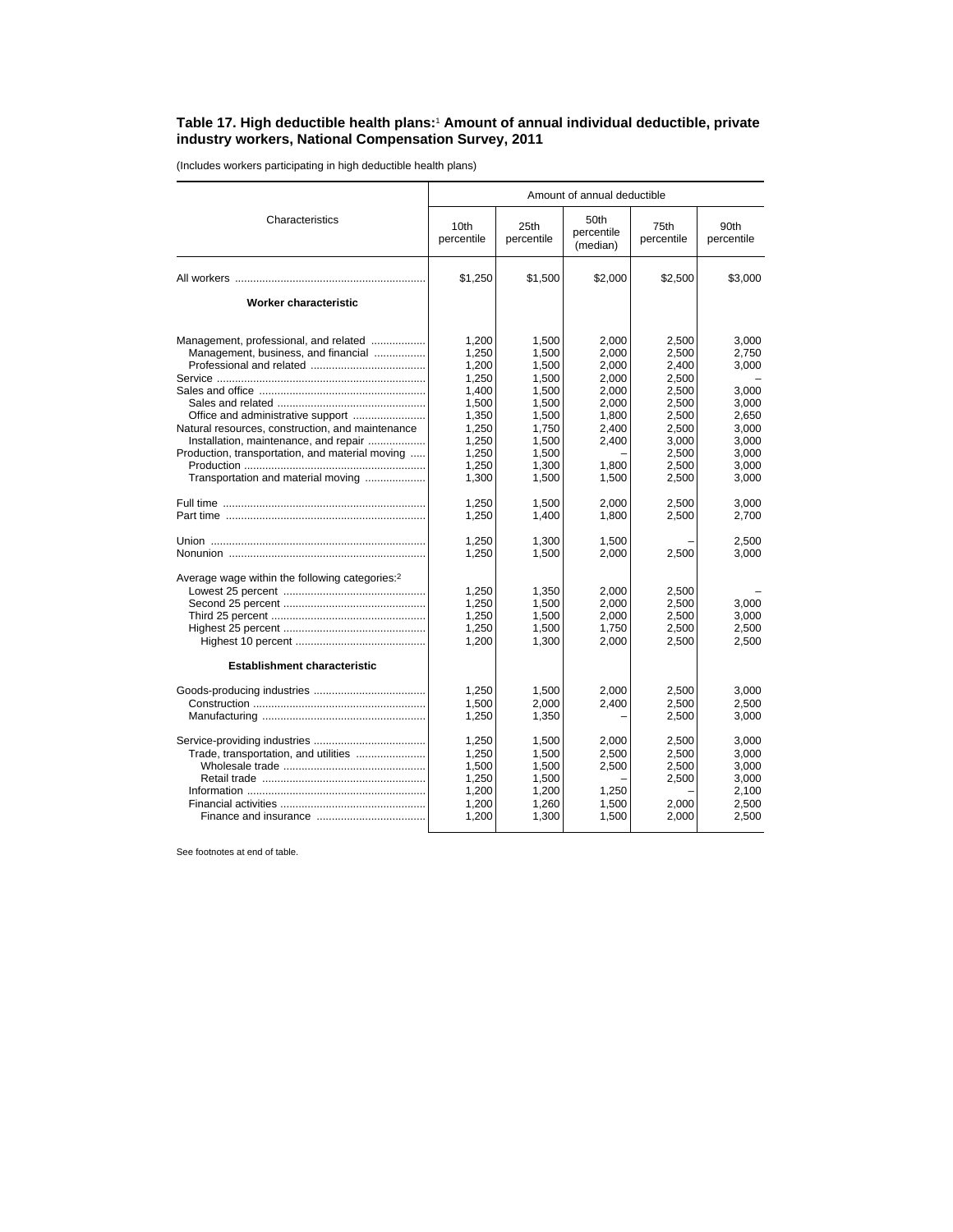## **Table 17. High deductible health plans:**<sup>1</sup>  **Amount of annual individual deductible, private industry workers, National Compensation Survey, 2011**

(Includes workers participating in high deductible health plans)

|                                                                                                                                                                                                                                                                    | Amount of annual deductible                                                                              |                                                                                                          |                                                                                                 |                                                                                                          |                                                                                                 |  |
|--------------------------------------------------------------------------------------------------------------------------------------------------------------------------------------------------------------------------------------------------------------------|----------------------------------------------------------------------------------------------------------|----------------------------------------------------------------------------------------------------------|-------------------------------------------------------------------------------------------------|----------------------------------------------------------------------------------------------------------|-------------------------------------------------------------------------------------------------|--|
| Characteristics                                                                                                                                                                                                                                                    | 10th<br>percentile                                                                                       | 25th<br>percentile                                                                                       | 50th<br>percentile<br>(median)                                                                  | 75th<br>percentile                                                                                       | 90th<br>percentile                                                                              |  |
|                                                                                                                                                                                                                                                                    | \$1,250                                                                                                  | \$1,500                                                                                                  | \$2,000                                                                                         | \$2,500                                                                                                  | \$3,000                                                                                         |  |
| <b>Worker characteristic</b>                                                                                                                                                                                                                                       |                                                                                                          |                                                                                                          |                                                                                                 |                                                                                                          |                                                                                                 |  |
| Management, professional, and related<br>Management, business, and financial<br>Natural resources, construction, and maintenance<br>Installation, maintenance, and repair<br>Production, transportation, and material moving<br>Transportation and material moving | 1,200<br>1,250<br>1,200<br>1,250<br>1.400<br>1,500<br>1,350<br>1.250<br>1,250<br>1.250<br>1.250<br>1,300 | 1,500<br>1,500<br>1,500<br>1,500<br>1,500<br>1,500<br>1,500<br>1.750<br>1,500<br>1,500<br>1,300<br>1,500 | 2,000<br>2,000<br>2,000<br>2.000<br>2.000<br>2,000<br>1,800<br>2.400<br>2,400<br>1.800<br>1,500 | 2,500<br>2,500<br>2,400<br>2,500<br>2,500<br>2,500<br>2,500<br>2.500<br>3,000<br>2,500<br>2,500<br>2,500 | 3,000<br>2.750<br>3,000<br>3.000<br>3,000<br>2,650<br>3.000<br>3,000<br>3.000<br>3,000<br>3,000 |  |
|                                                                                                                                                                                                                                                                    | 1,250<br>1,250                                                                                           | 1,500<br>1,400                                                                                           | 2,000<br>1,800                                                                                  | 2,500<br>2,500                                                                                           | 3,000<br>2,700                                                                                  |  |
|                                                                                                                                                                                                                                                                    | 1,250<br>1,250                                                                                           | 1,300<br>1,500                                                                                           | 1,500<br>2,000                                                                                  | 2,500                                                                                                    | 2,500<br>3,000                                                                                  |  |
| Average wage within the following categories: <sup>2</sup><br><b>Establishment characteristic</b>                                                                                                                                                                  | 1,250<br>1.250<br>1,250<br>1,250<br>1,200                                                                | 1,350<br>1,500<br>1,500<br>1,500<br>1,300                                                                | 2.000<br>2.000<br>2,000<br>1,750<br>2,000                                                       | 2,500<br>2.500<br>2,500<br>2,500<br>2,500                                                                | 3.000<br>3,000<br>2,500<br>2,500                                                                |  |
|                                                                                                                                                                                                                                                                    | 1,250<br>1,500<br>1,250                                                                                  | 1,500<br>2.000<br>1,350                                                                                  | 2,000<br>2.400                                                                                  | 2,500<br>2,500<br>2,500                                                                                  | 3,000<br>2.500<br>3,000                                                                         |  |
| Trade, transportation, and utilities                                                                                                                                                                                                                               | 1.250<br>1,250<br>1.500<br>1,250<br>1,200<br>1,200<br>1,200                                              | 1.500<br>1,500<br>1.500<br>1,500<br>1,200<br>1,260<br>1,300                                              | 2.000<br>2,500<br>2.500<br>1,250<br>1,500<br>1,500                                              | 2.500<br>2,500<br>2,500<br>2,500<br>2,000<br>2,000                                                       | 3.000<br>3,000<br>3.000<br>3,000<br>2,100<br>2,500<br>2,500                                     |  |

See footnotes at end of table.